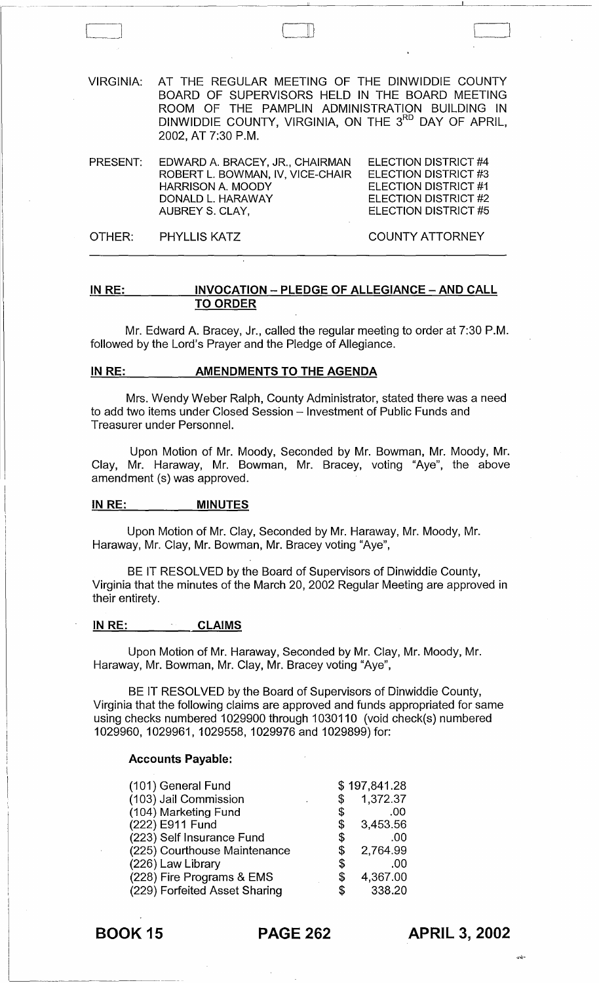VIRGINIA: AT THE REGULAR MEETING OF THE DINWIDDIE COUNTY BOARD OF SUPERVISORS HELD IN THE BOARD MEETING ROOM OF THE PAMPLIN ADMINISTRATION BUILDING IN DINWIDDIE COUNTY, VIRGINIA, ON THE 3<sup>RD</sup> DAY OF APRIL, 2002, AT 7:30 P.M.

 $\Box$ 

PRESENT: EDWARD A. BRACEY, JR., CHAIRMAN ROBERT L. BOWMAN, IV, VICE-CHAIR HARRISON A. MOODY ELECTION DISTRICT #4 ELECTION DISTRICT #3 ELECTION DISTRICT #1 ELECTION DISTRICT #2 ELECTION DISTRICT #5 DONALD L. HARAWAY AUBREY S. CLAY,

OTHER: PHYLLIS KATZ COUNTY ATTORNEY

### IN RE: INVOCATION - PLEDGE OF ALLEGIANCE - AND CALL TO ORDER

Mr. Edward A. Bracey, Jr., called the regular meeting to order at 7:30 P.M. followed by the Lord's Prayer and the Pledge of Allegiance.

#### IN RE: AMENDMENTS TO THE AGENDA

Mrs. Wendy Weber Ralph, County Administrator, stated there was a need to add two items under Closed Session – Investment of Public Funds and Treasurer under Personnel.

Upon Motion of Mr. Moody, Seconded by Mr. Bowman, Mr. Moody, Mr. Clay, Mr. Haraway, Mr. Bowman, Mr. Bracey, voting "Aye", the above amendment (s) was approved.

#### IN RE: MINUTES

Upon Motion of Mr. Clay, Seconded by Mr. Haraway, Mr. Moody, Mr. Haraway, Mr. Clay, Mr. Bowman, Mr. Bracey voting "Aye",

BE IT RESOLVED by the Board of Supervisors of Dinwiddie County, Virginia that the minutes of the March 20, 2002 Regular Meeting are approved in their entirety.

#### IN RE: CLAIMS

Upon Motion of Mr. Haraway, Seconded by Mr. Clay, Mr. Moody, Mr. Haraway, Mr. Bowman, Mr. Clay, Mr. Bracey voting "Aye",

BE IT RESOLVED by the Board of Supervisors of Dinwiddie County, Virginia that the following claims are approved and funds appropriated for same using checks numbered 1029900 through 1030110 (void check(s) numbered 1029960, 1029961, 1029558, 1029976 and 1029899) for:

#### Accounts Payable:

| (101) General Fund            |    | \$197,841.28 |
|-------------------------------|----|--------------|
| (103) Jail Commission         | \$ | 1,372.37     |
| (104) Marketing Fund          | \$ | .00          |
| (222) E911 Fund               | \$ | 3,453.56     |
| (223) Self Insurance Fund     | S  | .00          |
| (225) Courthouse Maintenance  | \$ | 2,764.99     |
| (226) Law Library             | \$ | .00          |
| (228) Fire Programs & EMS     | S  | 4,367.00     |
| (229) Forfeited Asset Sharing | S  | 338.20       |

# BOOK 15 PAGE 262

APRIL 3, 2002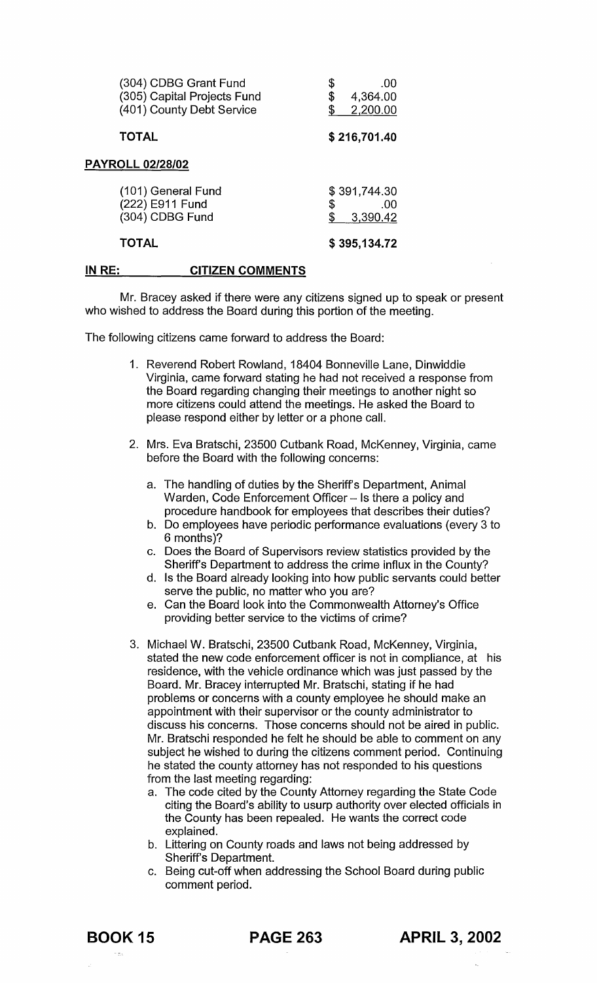| (304) CDBG Grant Fund<br>(305) Capital Projects Fund<br>(401) County Debt Service | .00<br>\$<br>4,364.00<br>2,200.00     |
|-----------------------------------------------------------------------------------|---------------------------------------|
| <b>TOTAL</b>                                                                      | \$216,701.40                          |
| <b>PAYROLL 02/28/02</b>                                                           |                                       |
| (101) General Fund<br>(222) E911 Fund<br>(304) CDBG Fund                          | \$391,744.30<br>\$<br>.00<br>3,390.42 |
| <b>TOTAL</b>                                                                      | \$395,134.72                          |

#### IN RE: CITIZEN COMMENTS

Mr. Bracey asked if there were any citizens signed up to speak or present who wished to address the Board during this portion of the meeting.

The following citizens came forward to address the Board:

- 1. Reverend Robert Rowland, 18404 Bonneville Lane, Dinwiddie Virginia, came forward stating he had not received a response from the Board regarding changing their meetings to another night so more citizens could attend the meetings. He asked the Board to please respond either by letter or a phone call.
- 2. Mrs. Eva Bratschi, 23500 Cutbank Road, McKenney, Virginia, came before the Board with the following concerns:
	- a. The handling of duties by the Sheriff's Department, Animal Warden, Code Enforcement Officer - Is there a policy and procedure handbook for employees that describes their duties?
	- b. Do employees have periodic performance evaluations (every 3 to 6 months)?
	- c. Does the Board of Supervisors review statistics provided by the Sheriff's Department to address the crime influx in the County?
	- d. Is the Board already looking into how public servants could better serve the public, no matter who you are?
	- e. Can the Board look into the Commonwealth Attorney's Office providing better service to the victims of crime?
- 3. Michael W. Bratschi, 23500 Cutbank Road, McKenney, Virginia, stated the new code enforcement officer is not in compliance, at his residence, with the vehicle ordinance which was just passed by the Board. Mr. Bracey interrupted Mr. Bratschi, stating if he had problems or concerns with a county employee he should make an appointment with their supervisor or the county administrator to discuss his concerns. Those concerns should not be aired in public. Mr. Bratschi responded he felt he should be able to comment on any subject he wished to during the citizens comment period. Continuing he stated the county attorney has not responded to his questions from the last meeting regarding:
	- a. The code cited by the County Attorney regarding the State Code citing the Board's ability to usurp authority over elected officials in the County has been repealed. He wants the correct code explained.
	- b. Littering on County roads and laws not being addressed by Sheriffs Department.
	- c. Being cut-off when addressing the School Board during public comment period.

BOOK 15 PAGE 263 APRIL 3, 2002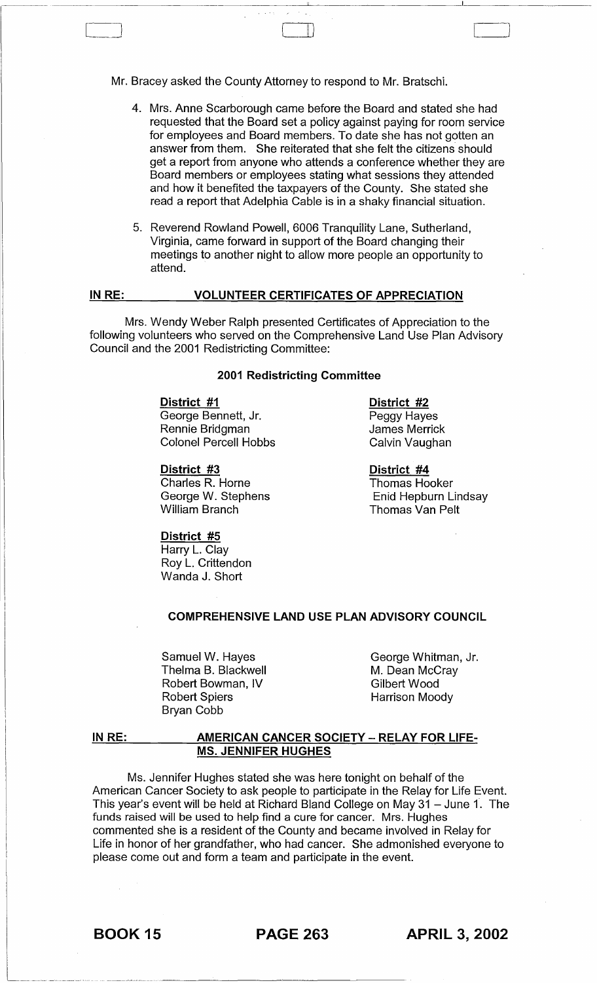Mr. Bracey asked the County Attorney to respond to Mr. Bratschi.

,~----- ------~~~~---~~~ ~~~~~~--~~~~~~~--~----------~------

LlJ

- 4. Mrs. Anne Scarborough came before the Board and stated she had requested that the Board set a policy against paying for room service for employees and Board members. To date she has not gotten an answer from them. She reiterated that she felt the citizens should get a report from anyone who attends a conference whether they are Board members or employees stating what sessions they attended and how it benefited the taxpayers of the County. She stated she read a report that Adelphia Cable is in a shaky financial situation.
- 5. Reverend Rowland Powell, 6006 Tranquility Lane, Sutherland, Virginia, came forward in support of the Board changing their meetings to another night to allow more people an opportunity to attend.

#### **IN RE: VOLUNTEER CERTIFICATES OF APPRECIATION**

Mrs. Wendy Weber Ralph presented Certificates of Appreciation to the following volunteers who served on the Comprehensive Land Use Plan Advisory Council and the 2001 Redistricting Committee:

#### **2001 Redistricting Committee**

#### **District #1**

George Bennett, Jr. Rennie Bridgman Colonel Percell Hobbs

**District #3**  Charles R. Horne George W. Stephens William Branch

**District #2**  Peggy Hayes James Merrick Calvin Vaughan

**District #4**  Thomas Hooker Enid Hepburn Lindsay Thomas Van Pelt

# **District #5**

Harry L. Clay Roy L. Crittendon Wanda J. Short

# **COMPREHENSIVE LAND USE PLAN ADVISORY COUNCIL**

Samuel W. Hayes Thelma B. Blackwell Robert Bowman, IV Robert Spiers Bryan Cobb

George Whitman, Jr. M. Dean McCray Gilbert Wood Harrison Moody

#### **IN RE: AMERICAN CANCER SOCIETY - RELAY FOR LlFE-MS. JENNIFER HUGHES**

Ms. Jennifer Hughes stated she was here tonight on behalf of the American Cancer Society to ask people to participate in the Relay for Life Event. This year's event will be held at Richard Bland College on May 31 - June 1. The funds raised will be used to help find a cure for cancer. Mrs. Hughes commented she is a resident of the County and became involved in Relay for Life in honor of her grandfather, who had cancer. She admonished everyone to please come out and form a team and participate in the event.

~---~~-"~-~" ,-~--~----~--~~--~~--~~--

BOOK 15 **PAGE 263 APRIL 3, 2002**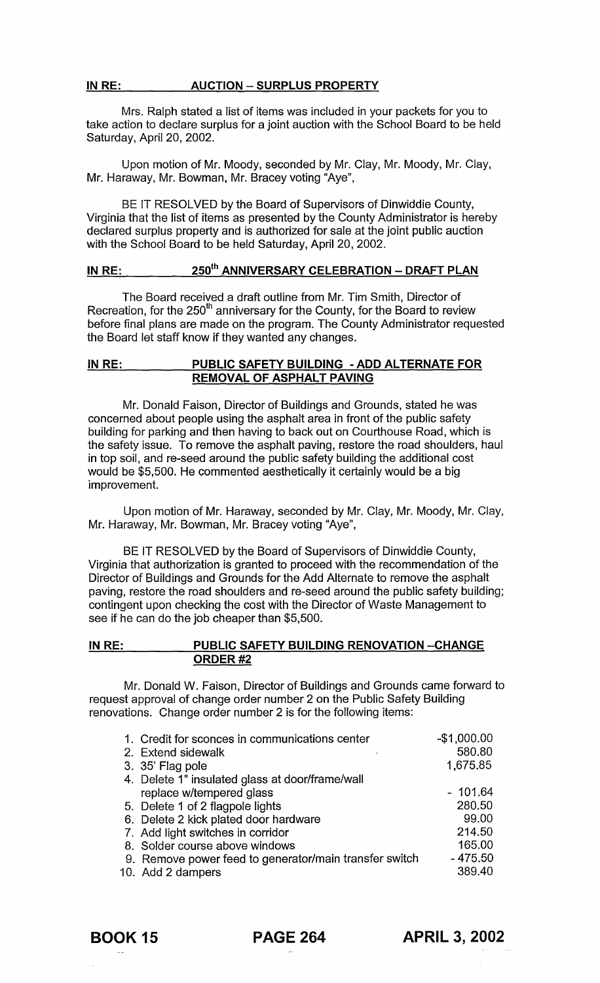# IN RE: AUCTION - SURPLUS PROPERTY

Mrs. Ralph stated a list of items was included in your packets for you to take action to declare surplus for a joint auction with the School Board to be held Saturday, April 20, 2002.

Upon motion of Mr. Moody, seconded by Mr. Clay, Mr. Moody, Mr. Clay, Mr. Haraway, Mr. Bowman, Mr. Bracey voting "Aye",

BE IT RESOLVED by the Board of Supervisors of Dinwiddie County, Virginia that the list of items as presented by the County Administrator is hereby declared surplus property and is authorized for sale at the joint public auction with the School Board to be held Saturday, April 20, 2002.

# IN RE: 250<sup>th</sup> ANNIVERSARY CELEBRATION - DRAFT PLAN

The Board received a draft outline from Mr. Tim Smith, Director of Recreation, for the 250<sup>th</sup> anniversary for the County, for the Board to review before final plans are made on the program. The County Administrator requested the Board let staff know if they wanted any changes.

## IN RE: PUBLIC SAFETY BUILDING - ADD ALTERNATE FOR REMOVAL OF ASPHALT PAVING

Mr. Donald Faison, Director of Buildings and Grounds, stated he was concerned about people using the asphalt area in front of the public safety building for parking and then having to back out on Courthouse Road, which is the safety issue. To remove the asphalt paving, restore the road shoulders, haul in top soil, and re-seed around the public safety building the additional cost would be \$5,500. He commented aesthetically it certainly would be a big improvement.

Upon motion of Mr. Haraway, seconded by Mr. Clay, Mr. Moody, Mr. Clay, Mr. Haraway, Mr. Bowman, Mr. Bracey voting "Aye",

BE IT RESOLVED by the Board of Supervisors of Dinwiddie County, Virginia that authorization is granted to proceed with the recommendation of the Director of Buildings and Grounds for the Add Alternate to remove the asphalt paving, restore the road shoulders and re-seed around the public safety building; contingent upon checking the cost with the Director of Waste Management to see if he can do the job cheaper than \$5,500.

# IN RE: PUBLIC SAFETY BUILDING RENOVATION -- CHANGE ORDER #2

Mr. Donald W. Faison, Director of Buildings and Grounds came forward to request approval of change order number 2 on the Public Safety Building renovations. Change order number 2 is for the following items:

| 1. Credit for sconces in communications center         | $-$1,000.00$ |
|--------------------------------------------------------|--------------|
| 2. Extend sidewalk                                     | 580.80       |
| 3. 35' Flag pole                                       | 1,675.85     |
| 4. Delete 1" insulated glass at door/frame/wall        |              |
| replace w/tempered glass                               | $-101.64$    |
| 5. Delete 1 of 2 flagpole lights                       | 280.50       |
| 6. Delete 2 kick plated door hardware                  | 99.00        |
| 7. Add light switches in corridor                      | 214.50       |
| 8. Solder course above windows                         | 165.00       |
| 9. Remove power feed to generator/main transfer switch | $-475.50$    |
| 10. Add 2 dampers                                      | 389.40       |

BOOK 15 PAGE 264 APRIL 3, 2002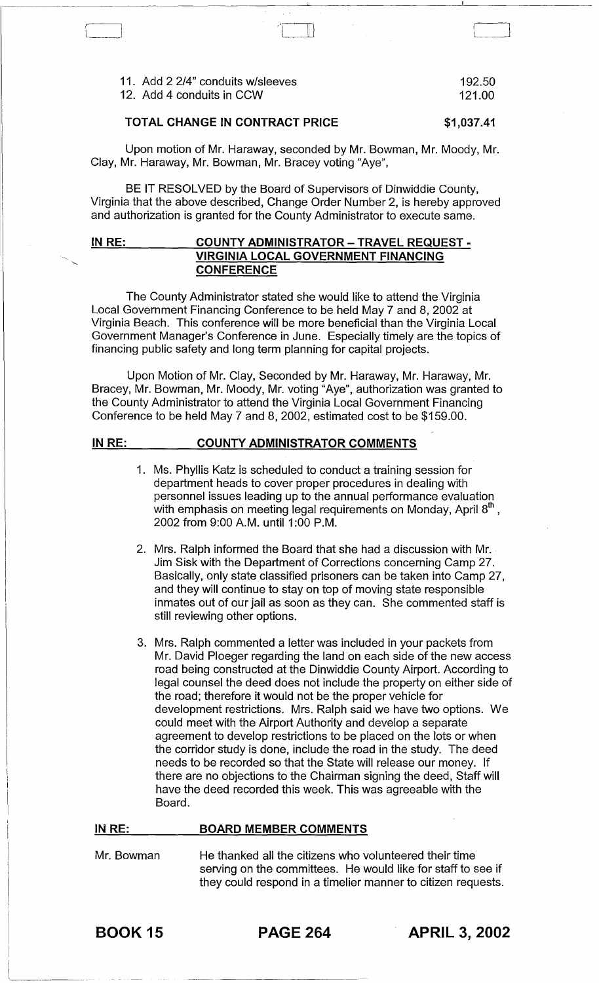11. Add 2 2/4" conduits w/sleeves 192.50<br>12. Add 4 conduits in CCW 12. Add 4 conduits in CCW

# **TOTAL CHANGE IN CONTRACT PRICE** \$1,037.41

Upon motion of Mr. Haraway, seconded by Mr. Bowman, Mr. Moody, Mr. Clay, Mr. Haraway, Mr. Bowman, Mr. Bracey voting "Aye",

BE IT RESOLVED by the Board of Supervisors of Dinwiddie County, Virginia that the above described, Change Order Number 2, is hereby approved and authorization is granted for the County Administrator to execute same.

## **IN RE: COUNTY ADMINISTRATOR - TRAVEL REQUEST - VIRGINIA LOCAL GOVERNMENT FINANCING CONFERENCE**

The County Administrator stated she would like to attend the Virginia Local Government Financing Conference to be held May 7 and 8, 2002 at Virginia Beach. This conference will be more beneficial than the Virginia Local Government Manager's Conference in June. Especially timely are the topics of financing public safety and long term planning for capital projects.

Upon Motion of Mr. Clay, Seconded by Mr. Haraway, Mr. Haraway, Mr. Bracey, Mr. Bowman, Mr. Moody, Mr. voting "Aye", authorization was granted to the County Administrator to attend the Virginia Local Government Financing Conference to be held May 7 and 8, 2002, estimated cost to be \$159.00.

#### **IN RE: COUNTY ADMINISTRATOR COMMENTS**

- 1. Ms. Phyllis Katz is scheduled to conduct a training session for department heads to cover proper procedures in dealing with personnel issues leading up to the annual performance evaluation with emphasis on meeting legal requirements on Monday, April  $8<sup>th</sup>$ , 2002 from 9:00 A.M. until 1 :00 P.M.
- 2. Mrs. Ralph informed the Board that she had a discussion with Mr. Jim Sisk with the Department of Corrections concerning Camp 27. Basically, only state classified prisoners can be taken into Camp 27, and they will continue to stay on top of moving state responsible inmates out of our jail as soon as they can. She commented staff is still reviewing other options.
- 3. Mrs. Ralph commented a letter was included in your packets from Mr. David Ploeger regarding the land on each side of the new access road being constructed at the Dinwiddie County Airport. According to legal counsel the deed does not include the property on either side of the road; therefore it would not be the proper vehicle for development restrictions. Mrs. Ralph said we have two options. We could meet with the Airport Authority and develop a separate agreement to develop restrictions to be placed on the lots or when the corridor study is done, include the road in the study. The deed needs to be recorded so that the State will release our money. If there are no objections to the Chairman signing the deed, Staff will have the deed recorded this week. This was agreeable with the Board.

#### **IN RE:**

### **BOARD MEMBER COMMENTS**

Mr. Bowman He thanked all the citizens who volunteered their time serving on the committees. He would like for staff to see if they could respond in a timelier manner to citizen requests.

BOOK 15 **PAGE 264 APRIL 3, 2002**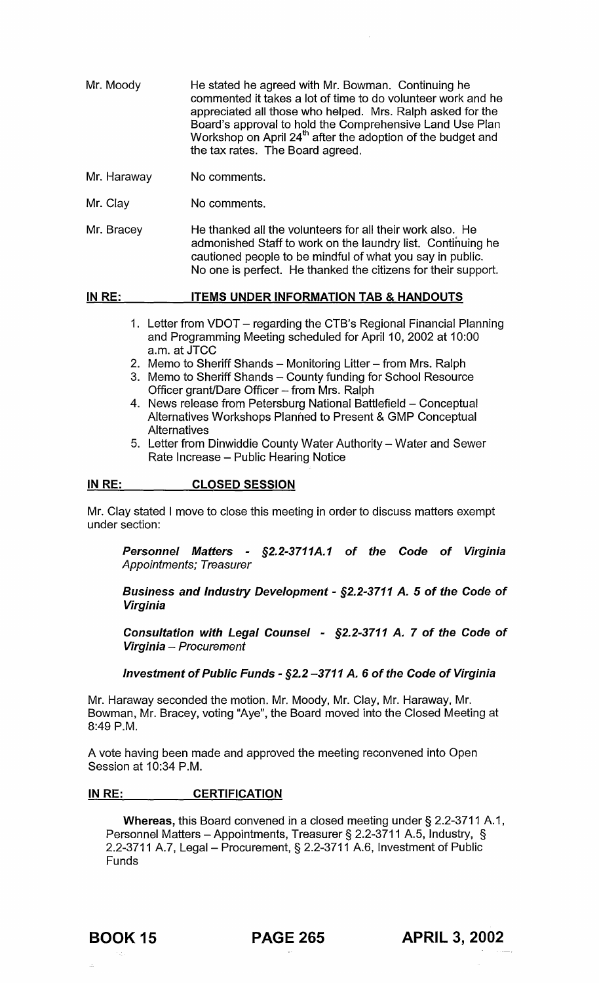| Mr. Moody | He stated he agreed with Mr. Bowman, Continuing he<br>commented it takes a lot of time to do volunteer work and he<br>appreciated all those who helped. Mrs. Ralph asked for the<br>Board's approval to hold the Comprehensive Land Use Plan<br>Workshop on April 24 <sup>th</sup> after the adoption of the budget and<br>the tax rates. The Board agreed. |
|-----------|-------------------------------------------------------------------------------------------------------------------------------------------------------------------------------------------------------------------------------------------------------------------------------------------------------------------------------------------------------------|
|           |                                                                                                                                                                                                                                                                                                                                                             |

- Mr. Haraway No comments.
- Mr. Clay No comments.
- Mr. Bracey He thanked all the volunteers for all their work also. He admonished Staff to work on the laundry list. Continuing he cautioned people to be mindful of what you say in public. No one is perfect. He thanked the citizens for their support.

#### IN RE: ITEMS UNDER INFORMATION TAB & HANDOUTS

- 1. Letter from VDOT regarding the CTB's Regional Financial Planning and Programming Meeting scheduled for April 10, 2002 at 10:00 a.m. at JTCC
- 2. Memo to Sheriff Shands Monitoring Litter from Mrs. Ralph
- 3. Memo to Sheriff Shands County funding for School Resource Officer grant/Dare Officer - from Mrs. Ralph
- 4. News release from Petersburg National Battlefield Conceptual Alternatives Workshops Planned to Present & GMP Conceptual **Alternatives**
- 5. Letter from Dinwiddie County Water Authority Water and Sewer Rate Increase - Public Hearing Notice

#### IN RE: CLOSED SESSION

Mr. Clay stated I move to close this meeting in order to discuss matters exempt under section:

Personnel Matters - §2.2-3711A.1 of the Code of Virginia Appointments; Treasurer

Business and Industry Development - §2.2-3711 A. 5 of the Code of Virginia

Consultation with Legal Counsel - §2.2-3711 A. 7 of the Code of Virginia - Procurement

### Investment of Public Funds - §2.2 -3711 A. 6 of the Code of Virginia

Mr. Haraway seconded the motion. Mr. Moody, Mr. Clay, Mr. Haraway, Mr. Bowman, Mr. Bracey, voting "Aye", the Board moved into the Closed Meeting at 8:49 P.M.

A vote having been made and approved the meeting reconvened into Open Session at 10:34 P.M.

### IN RE: **CERTIFICATION**

Whereas, this Board convened in a closed meeting under § 2.2-3711 A.1, Personnel Matters - Appointments, Treasurer § 2.2-3711 A.5, Industry, § 2.2-3711 A.7, Legal- Procurement, § 2.2-3711 A.6, Investment of Public Funds

BOOK 15 PAGE 265 APRIL 3,2002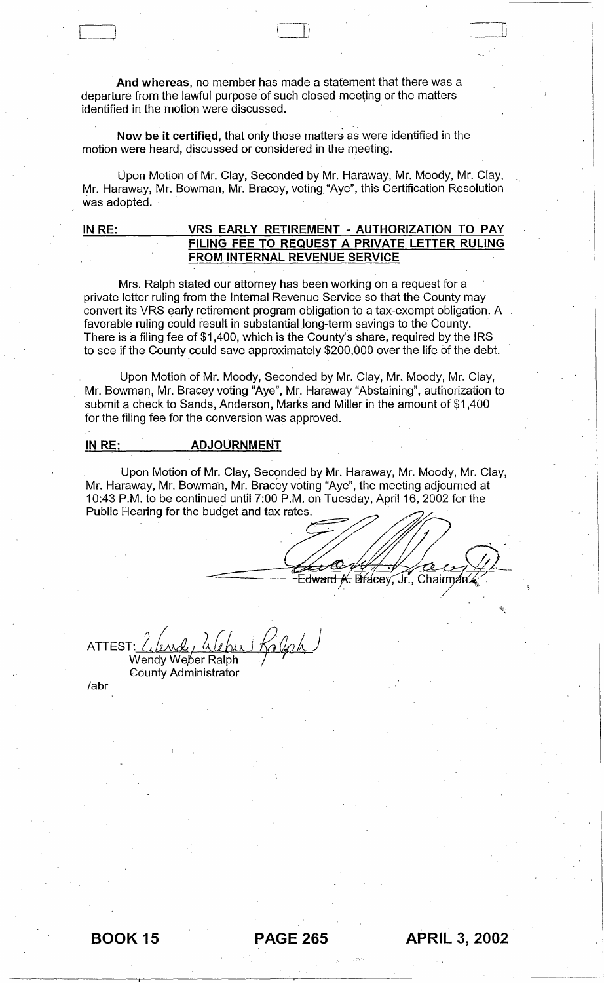. **And whereas,** no member has made a statement that there was a departure from the lawful purpose of such closed meeting or the matters identified in the motion were discussed.

Now be it certified, that only those matters as were identified in the motion were heard, discussed or considered in the meeting.

Upon Motion of Mr. Clay, Seconded by Mr. Haraway, Mr. Moody, Mr. Clay, Mr. Haraway, Mr. Bowman, Mr. Bracey, voting "Aye", this Certification Resolution was adopted.

 $\begin{pmatrix} 1 & 1 \\ 1 & 1 \end{pmatrix}$ 

-11 <sup>u</sup>

# **IN RE: VRS EARLY RETIREMENT - AUTHORIZATION TO PAY FILING FEE TO REQUEST A PRIVATE LETTER RULING FROM INTERNAL REVENUE SERVICE**

Mrs. Ralph stated our attorney has been working on a request for a private letter ruling from the Internal Revenue Service so that the County may convert its VRS early retirement program obligation to a tax-exempt obligation. A favorable ruling could result in substantial long-term savings to the County. There is a filing fee of \$1,400, which is the County's share, required by the IRS to see if the County could save approximately \$200,000 over the life of the debt.

Upon Motion of Mr. Moody, Seconded by Mr. Clay, Mr. Moody, Mr. Clay, Mr. Bowman, Mr. Bracey voting "Aye", Mr. Haraway "Abstaining", authorization to submit a check to Sands, Anderson, Marks and Miller in the amount of \$1 ,400 for the filing fee for the conversion was approved.

### **INRE: ADJOURNMENT**

Upon Motion of Mr. Clay, Seconded by Mr. Haraway, Mr. Moody, Mr. Clay, Mr. Haraway, Mr. Bowman, Mr. Bracey voting "Aye", the meeting adjourned at 10:43 P.M. to be continued until 7:00 P.M. on Tuesday, April 16,2002 for the Public Hearing for the budget and tax rates.

 $\bigcup$  a Edward <del>*K.* Br</del>acey, Jr., Chairman.

ATTEST: *[اسطري الحالك*<br>Wendy Weber Ralph

County Administrator

labr



 $\mathcal{L}_{\mathcal{L}_{\mathcal{L}}}$